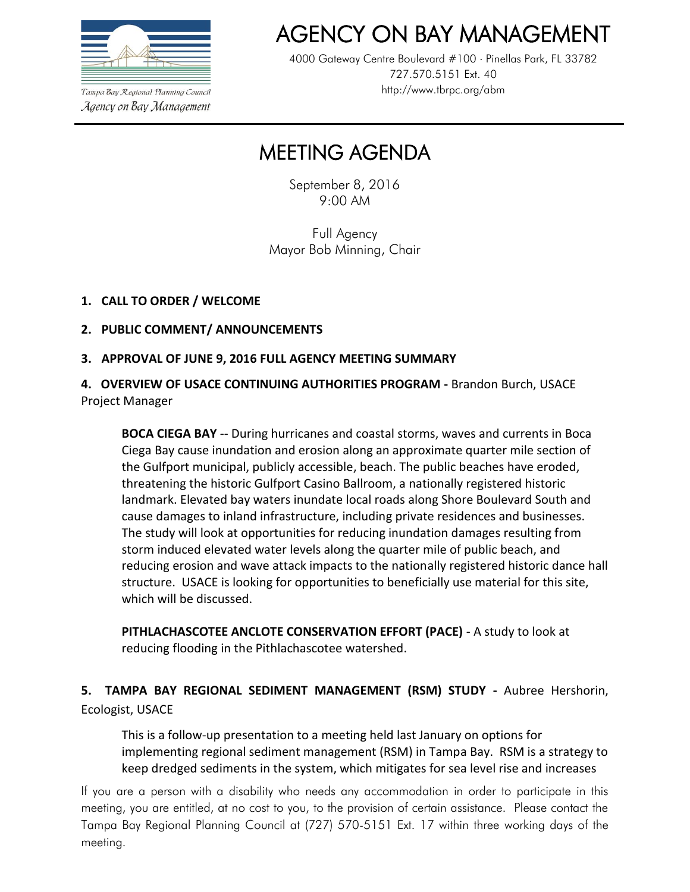

AGENCY ON BAY MANAGEMENT

4000 Gateway Centre Boulevard #100 Pinellas Park, FL 33782 727.570.5151 Ext. 40 http://www.tbrpc.org/abm

Tampa Bay Regional Planning Council Agency on Bay Management

# MEETING AGENDA

September 8, 2016 9:00 AM

Full Agency Mayor Bob Minning, Chair

#### **1. CALL TO ORDER / WELCOME**

- **2. PUBLIC COMMENT/ ANNOUNCEMENTS**
- **3. APPROVAL OF JUNE 9, 2016 FULL AGENCY MEETING SUMMARY**

**4. OVERVIEW OF USACE CONTINUING AUTHORITIES PROGRAM -** Brandon Burch, USACE Project Manager

**BOCA CIEGA BAY** -- During hurricanes and coastal storms, waves and currents in Boca Ciega Bay cause inundation and erosion along an approximate quarter mile section of the Gulfport municipal, publicly accessible, beach. The public beaches have eroded, threatening the historic Gulfport Casino Ballroom, a nationally registered historic landmark. Elevated bay waters inundate local roads along Shore Boulevard South and cause damages to inland infrastructure, including private residences and businesses. The study will look at opportunities for reducing inundation damages resulting from storm induced elevated water levels along the quarter mile of public beach, and reducing erosion and wave attack impacts to the nationally registered historic dance hall structure. USACE is looking for opportunities to beneficially use material for this site, which will be discussed.

**PITHLACHASCOTEE ANCLOTE CONSERVATION EFFORT (PACE)** - A study to look at reducing flooding in the Pithlachascotee watershed.

**5. TAMPA BAY REGIONAL SEDIMENT MANAGEMENT (RSM) STUDY -** Aubree Hershorin, Ecologist, USACE

This is a follow-up presentation to a meeting held last January on options for implementing regional sediment management (RSM) in Tampa Bay. RSM is a strategy to keep dredged sediments in the system, which mitigates for sea level rise and increases

If you are a person with a disability who needs any accommodation in order to participate in this meeting, you are entitled, at no cost to you, to the provision of certain assistance. Please contact the Tampa Bay Regional Planning Council at (727) 570-5151 Ext. 17 within three working days of the meeting.